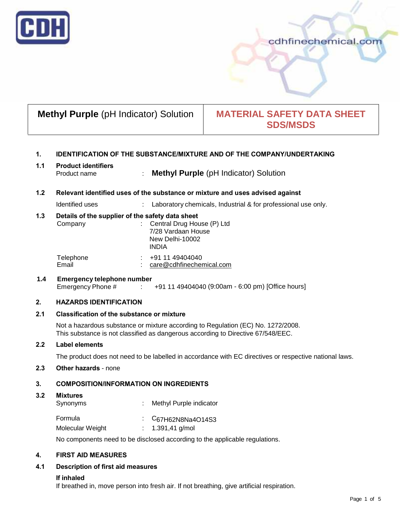

# cdhfinechemical.com

# **Methyl Purple** (pH Indicator) Solution | **MATERIAL SAFETY DATA SHEET SDS/MSDS**

# **1. IDENTIFICATION OF THE SUBSTANCE/MIXTURE AND OF THE COMPANY/UNDERTAKING**

#### **1.1 Product identifiers** Product name : **Methyl Purple** (pH Indicator) Solution

#### **1.2 Relevant identified uses of the substance or mixture and uses advised against**

Identified uses : Laboratory chemicals, Industrial & for professional use only.

# **1.3 Details of the supplier of the safety data sheet**

| Company            |        | $\therefore$ Central Drug House (P) Ltd<br>7/28 Vardaan House<br>New Delhi-10002<br><b>INDIA</b> |
|--------------------|--------|--------------------------------------------------------------------------------------------------|
| Telephone<br>Email | $\sim$ | +91 11 49404040<br>care@cdhfinechemical.com                                                      |
|                    |        |                                                                                                  |

# **1.4 Emergency telephone number**  $\div$  +91 11 49404040 (9:00am - 6:00 pm) [Office hours]

# **2. HAZARDS IDENTIFICATION**

# **2.1 Classification of the substance or mixture**

Not a hazardous substance or mixture according to Regulation (EC) No. 1272/2008. This substance is not classified as dangerous according to Directive 67/548/EEC.

#### **2.2 Label elements**

The product does not need to be labelled in accordance with EC directives or respective national laws.

# **2.3 Other hazards** - none

# **3. COMPOSITION/INFORMATION ON INGREDIENTS**

#### **3.2 Mixtures**

| Synonyms | : Methyl Purple indicator                  |
|----------|--------------------------------------------|
| Formula  | $\therefore$ C <sub>67</sub> H62N8Na4O14S3 |

Molecular Weight : 1.391,41 g/mol

No components need to be disclosed according to the applicable regulations.

# **4. FIRST AID MEASURES**

# **4.1 Description of first aid measures**

# **If inhaled**

If breathed in, move person into fresh air. If not breathing, give artificial respiration.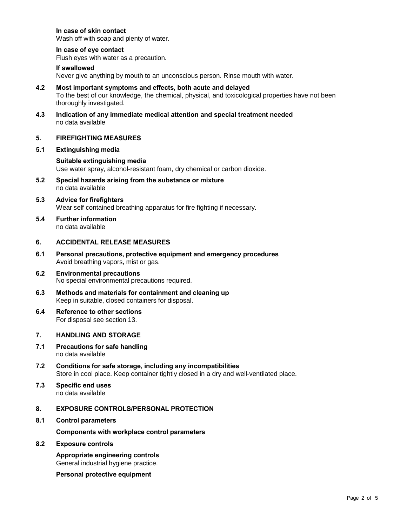# **In case of skin contact**

Wash off with soap and plenty of water.

# **In case of eye contact**

Flush eyes with water as a precaution.

#### **If swallowed**

Never give anything by mouth to an unconscious person. Rinse mouth with water.

- **4.2 Most important symptoms and effects, both acute and delayed** To the best of our knowledge, the chemical, physical, and toxicological properties have not been thoroughly investigated.
- **4.3 Indication of any immediate medical attention and special treatment needed** no data available

# **5. FIREFIGHTING MEASURES**

**5.1 Extinguishing media**

# **Suitable extinguishing media** Use water spray, alcohol-resistant foam, dry chemical or carbon dioxide.

- **5.2 Special hazards arising from the substance or mixture** no data available
- **5.3 Advice for firefighters** Wear self contained breathing apparatus for fire fighting if necessary.
- **5.4 Further information** no data available

# **6. ACCIDENTAL RELEASE MEASURES**

- **6.1 Personal precautions, protective equipment and emergency procedures** Avoid breathing vapors, mist or gas.
- **6.2 Environmental precautions** No special environmental precautions required.
- **6.3 Methods and materials for containment and cleaning up** Keep in suitable, closed containers for disposal.
- **6.4 Reference to other sections** For disposal see section 13.

# **7. HANDLING AND STORAGE**

- **7.1 Precautions for safe handling** no data available
- **7.2 Conditions for safe storage, including any incompatibilities** Store in cool place. Keep container tightly closed in a dry and well-ventilated place.
- **7.3 Specific end uses** no data available

# **8. EXPOSURE CONTROLS/PERSONAL PROTECTION**

**8.1 Control parameters**

**Components with workplace control parameters**

#### **8.2 Exposure controls**

**Appropriate engineering controls** General industrial hygiene practice.

**Personal protective equipment**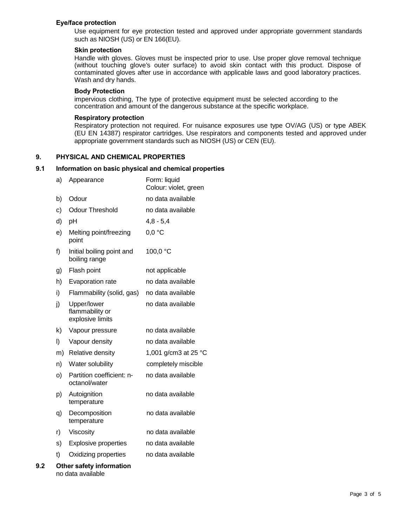#### **Eye/face protection**

Use equipment for eye protection tested and approved under appropriate government standards such as NIOSH (US) or EN 166(EU).

#### **Skin protection**

Handle with gloves. Gloves must be inspected prior to use. Use proper glove removal technique (without touching glove's outer surface) to avoid skin contact with this product. Dispose of contaminated gloves after use in accordance with applicable laws and good laboratory practices. Wash and dry hands.

#### **Body Protection**

impervious clothing, The type of protective equipment must be selected according to the concentration and amount of the dangerous substance at the specific workplace.

#### **Respiratory protection**

Respiratory protection not required. For nuisance exposures use type OV/AG (US) or type ABEK (EU EN 14387) respirator cartridges. Use respirators and components tested and approved under appropriate government standards such as NIOSH (US) or CEN (EU).

# **9. PHYSICAL AND CHEMICAL PROPERTIES**

#### **9.1 Information on basic physical and chemical properties**

|     | a)      | Appearance                                         | Form: liquid<br>Colour: violet, green |
|-----|---------|----------------------------------------------------|---------------------------------------|
|     | b)      | Odour                                              | no data available                     |
|     | c)      | <b>Odour Threshold</b>                             | no data available                     |
|     | d)      | pH                                                 | $4,8 - 5,4$                           |
|     | e)      | Melting point/freezing<br>point                    | 0.0 °C                                |
|     | f)      | Initial boiling point and<br>boiling range         | 100,0 °C                              |
|     | g)      | Flash point                                        | not applicable                        |
|     | h)      | Evaporation rate                                   | no data available                     |
|     | i)      | Flammability (solid, gas)                          | no data available                     |
|     | j)      | Upper/lower<br>flammability or<br>explosive limits | no data available                     |
|     | k)      | Vapour pressure                                    | no data available                     |
|     | $\vert$ | Vapour density                                     | no data available                     |
|     | m)      | Relative density                                   | 1,001 g/cm3 at 25 °C                  |
|     | n)      | Water solubility                                   | completely miscible                   |
|     | O)      | Partition coefficient: n-<br>octanol/water         | no data available                     |
|     | p)      | Autoignition<br>temperature                        | no data available                     |
|     | q)      | Decomposition<br>temperature                       | no data available                     |
|     | r)      | Viscosity                                          | no data available                     |
|     | s)      | <b>Explosive properties</b>                        | no data available                     |
|     | t)      | Oxidizing properties                               | no data available                     |
| 9.2 |         | Other safety information                           |                                       |

no data available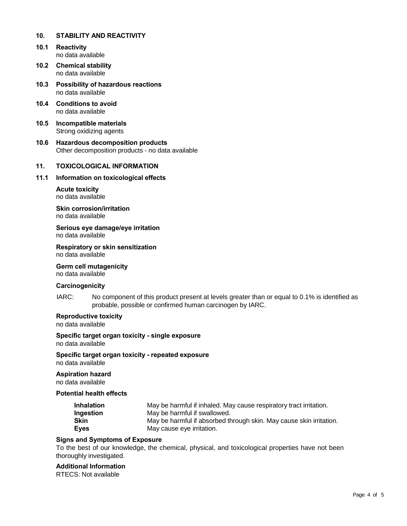#### **10. STABILITY AND REACTIVITY**

- **10.1 Reactivity** no data available
- **10.2 Chemical stability** no data available
- **10.3 Possibility of hazardous reactions** no data available
- **10.4 Conditions to avoid** no data available
- **10.5 Incompatible materials** Strong oxidizing agents
- **10.6 Hazardous decomposition products** Other decomposition products - no data available

# **11. TOXICOLOGICAL INFORMATION**

#### **11.1 Information on toxicological effects**

**Acute toxicity** no data available

**Skin corrosion/irritation** no data available

**Serious eye damage/eye irritation** no data available

**Respiratory or skin sensitization** no data available

# **Germ cell mutagenicity**

no data available

# **Carcinogenicity**

IARC: No component of this product present at levels greater than or equal to 0.1% is identified as probable, possible or confirmed human carcinogen by IARC.

# **Reproductive toxicity**

no data available

#### **Specific target organ toxicity - single exposure**

no data available

**Specific target organ toxicity - repeated exposure** no data available

# **Aspiration hazard**

no data available

#### **Potential health effects**

| <b>Inhalation</b> | May be harmful if inhaled. May cause respiratory tract irritation.  |
|-------------------|---------------------------------------------------------------------|
| Ingestion         | May be harmful if swallowed.                                        |
| <b>Skin</b>       | May be harmful if absorbed through skin. May cause skin irritation. |
| <b>Eyes</b>       | May cause eye irritation.                                           |

#### **Signs and Symptoms of Exposure**

To the best of our knowledge, the chemical, physical, and toxicological properties have not been thoroughly investigated.

#### **Additional Information**

RTECS: Not available